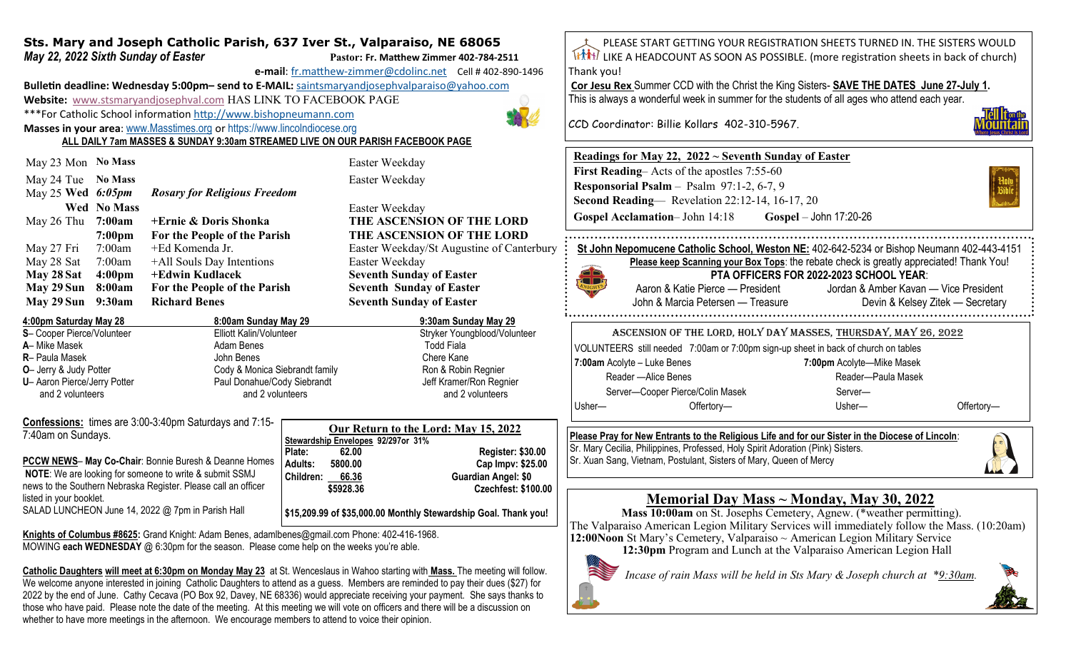## **Sts. Mary and Joseph Catholic Parish, 637 Iver St., Valparaiso, NE 68065** *May 22, 2022 Sixth Sunday of Easter* **Pastor: Pastor: Fr. Matthew Zimmer 402-784-2511**

**e-mail**: fr.matthew-[zimmer@cdolinc.net](mailto:fr.matthew-zimmer@cdolinc.net) Cell # 402-890-1496

**Bulletin deadline: Wednesday 5:00pm– send to E-MAIL:** [saintsmaryandjosephvalparaiso@yahoo.com](mailto:saintsmaryandjosephvalparaiso@yahoo.com) **Website:** [www.stsmaryandjosephval.com](http://www.stsmaryandjosephval.com/) HAS LINK TO FACEBOOK PAGE \*\*\*For Catholic School information [http://www.bishopneumann.com](http://www.bishopneuman.com)

**Masses in your area**: [www.Masstimes.org](file:///J:/Users/Sts.%20Mary%20and%20Josep/AppData/Local/Microsoft/Windows/Temporary%20Internet%20Files/Low/Content.IE5/12ZL2H74/www.Masstimes.org) or [https://www.lincolndiocese.org](https://www.lincolndiocese.org/easterrural)

**ALL DAILY 7am MASSES & SUNDAY 9:30am STREAMED LIVE ON OUR PARISH FACEBOOK PAGE**

| May 29 Sun          | 9:30am             | <b>Richard Benes</b>                | <b>Seventh Sunday of Easter</b> |
|---------------------|--------------------|-------------------------------------|---------------------------------|
| May 29 Sun          | 8:00am             | For the People of the Parish        | <b>Seventh Sunday of Easter</b> |
| May 28 Sat          | 4:00 <sub>pm</sub> | +Edwin Kudlacek                     | <b>Seventh Sunday of Easter</b> |
| May 28 Sat          | 7:00am             | +All Souls Day Intentions           | Easter Weekday                  |
| May 27 Fri          | 7:00am             | +Ed Komenda Jr.                     | Easter Weekday/St Augustin      |
|                     | 7:00 <sub>pm</sub> | For the People of the Parish        | THE ASCENSION OF TH             |
| May 26 Thu $7:00am$ |                    | +Ernie & Doris Shonka               | THE ASCENSION OF TH             |
|                     | <b>Wed No Mass</b> |                                     | Easter Weekday                  |
| May 25 Wed $6:05pm$ |                    | <b>Rosary for Religious Freedom</b> |                                 |
| May 24 Tue          | <b>No Mass</b>     |                                     | Easter Weekday                  |
| May 23 Mon No Mass  |                    |                                     | Easter Weekday                  |
|                     |                    |                                     |                                 |

| 4:00pm Saturday May 28         | 8:00am Sunday May 29           | 9:30am Sunday May 29         |
|--------------------------------|--------------------------------|------------------------------|
| S- Cooper Pierce/Volunteer     | Elliott Kalin/Volunteer        | Stryker Youngblood/Volunteer |
| A- Mike Masek                  | Adam Benes                     | Todd Fiala                   |
| <b>R</b> - Paula Masek         | John Benes                     | Chere Kane                   |
| <b>O</b> - Jerry & Judy Potter | Cody & Monica Siebrandt family | Ron & Robin Regnier          |
| U- Aaron Pierce/Jerry Potter   | Paul Donahue/Cody Siebrandt    | Jeff Kramer/Ron Regnier      |
| and 2 volunteers               | and 2 volunteers               | and 2 volunteers             |

**Confessions:** times are 3:00-3:40pm Saturdays and 7:15- 7:40am on Sundays.

**PCCW NEWS**– **May Co-Chair**: Bonnie Buresh & Deanne Homes **NOTE**: We are looking for someone to write & submit SSMJ news to the Southern Nebraska Register. Please call an officer listed in your booklet. SALAD LUNCHEON June 14, 2022 @ 7pm in Parish Hall

| Our Return to the Lord: May 15, 2022 |           |                                    |  |  |
|--------------------------------------|-----------|------------------------------------|--|--|
|                                      |           | Stewardship Envelopes 92/297or 31% |  |  |
| Plate:                               | 62.00     | <b>Register: \$30.00</b>           |  |  |
| <b>Adults:</b>                       | 5800.00   | Cap Impv: \$25.00                  |  |  |
| <b>Children:</b>                     | 66.36     | <b>Guardian Angel: \$0</b>         |  |  |
|                                      | \$5928.36 | <b>Czechfest: \$100.00</b>         |  |  |
|                                      |           |                                    |  |  |

**\$15,209.99 of \$35,000.00 Monthly Stewardship Goal. Thank you!**

**Knights of Columbus #8625:** Grand Knight: Adam Benes, adamlbenes@gmail.com Phone: 402-416-1968. MOWING **each WEDNESDAY** @ 6:30pm for the season. Please come help on the weeks you're able.

**Catholic Daughters will meet at 6:30pm on Monday May 23** at St. Wenceslaus in Wahoo starting with **Mass.** The meeting will follow. We welcome anyone interested in joining Catholic Daughters to attend as a guess. Members are reminded to pay their dues (\$27) for 2022 by the end of June. Cathy Cecava (PO Box 92, Davey, NE 68336) would appreciate receiving your payment. She says thanks to those who have paid. Please note the date of the meeting. At this meeting we will vote on officers and there will be a discussion on whether to have more meetings in the afternoon. We encourage members to attend to voice their opinion.

PLEASE START GETTING YOUR REGISTRATION SHEETS TURNED IN. THE SISTERS WOULD LIKE A HEADCOUNT AS SOON AS POSSIBLE. (more registration sheets in back of church) Thank you! **Cor Jesu Rex** Summer CCD with the Christ the King Sisters- **SAVE THE DATES June 27-July 1.**  This is always a wonderful week in summer for the students of all ages who attend each year. CCD Coordinator: Billie Kollars 402-310-5967. **Readings for May 22, 2022 ~ Seventh Sunday of Easter First Reading–** Acts of the apostles 7:55-60 **Responsorial Psalm** – Psalm 97:1-2, 6-7, 9 **Second Reading**— Revelation 22:12-14, 16-17, 20 **Gospel Acclamation**– John 14:18 **Gospel** – John 17:20-26 **THE ASCENSION OF THE LORD THE ASCENSION OF THE LORD St John Nepomucene Catholic School, Weston NE:** 402-642-5234 or Bishop Neumann 402-443-4151 Easter Weekday/St Augustine of Canterbury **Please keep Scanning your Box Tops**: the rebate check is greatly appreciated! Thank You! **PTA OFFICERS FOR 2022-2023 SCHOOL YEAR**: **TIPE** Aaron & Katie Pierce — President Jordan & Amber Kavan — Vice President John & Marcia Petersen — Treasure Devin & Kelsey Zitek — Secretary Ascension of the Lord, Holy Day Masses, Thursday, May 26, 2022 VOLUNTEERS still needed 7:00am or 7:00pm sign-up sheet in back of church on tables **7:00am** Acolyte – Luke Benes **7:00pm** Acolyte—Mike Masek Reader —Alice Benes **Reader—Paula Masek** Server—Cooper Pierce/Colin Masek Server— Usher— Offertory— Usher— Offertory—**Please Pray for New Entrants to the Religious Life and for our Sister in the Diocese of Lincoln**: Sr. Mary Cecilia, Philippines, Professed, Holy Spirit Adoration (Pink) Sisters. Sr. Xuan Sang, Vietnam, Postulant, Sisters of Mary, Queen of Mercy

## **Memorial Day Mass ~ Monday, May 30, 2022**

 **Mass 10:00am** on St. Josephs Cemetery, Agnew. (\*weather permitting). The Valparaiso American Legion Military Services will immediately follow the Mass. (10:20am) **12:00Noon** St Mary's Cemetery, Valparaiso ~ American Legion Military Service

**12:30pm** Program and Lunch at the Valparaiso American Legion Hall

*Incase of rain Mass will be held in Sts Mary & Joseph church at \*9:30am.*